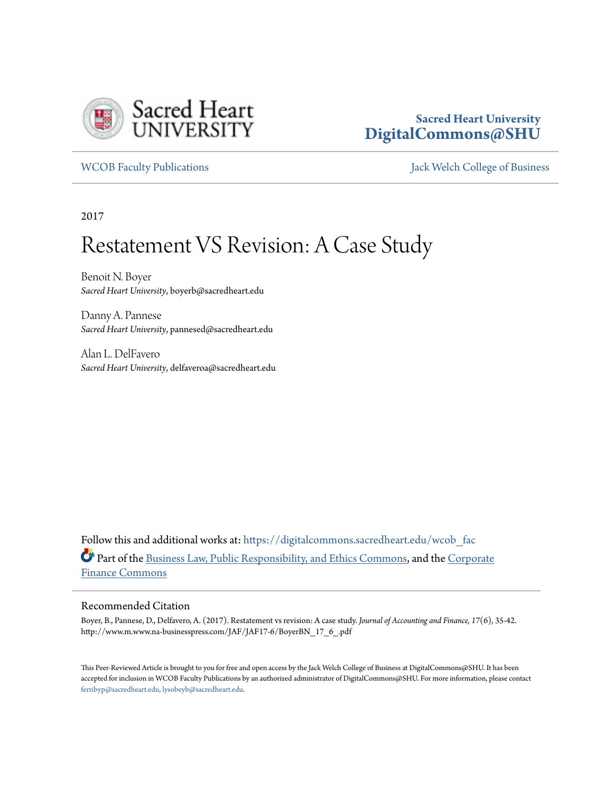

# **Sacred Heart University [DigitalCommons@SHU](https://digitalcommons.sacredheart.edu?utm_source=digitalcommons.sacredheart.edu%2Fwcob_fac%2F478&utm_medium=PDF&utm_campaign=PDFCoverPages)**

[WCOB Faculty Publications](https://digitalcommons.sacredheart.edu/wcob_fac?utm_source=digitalcommons.sacredheart.edu%2Fwcob_fac%2F478&utm_medium=PDF&utm_campaign=PDFCoverPages) [Jack Welch College of Business](https://digitalcommons.sacredheart.edu/wcob?utm_source=digitalcommons.sacredheart.edu%2Fwcob_fac%2F478&utm_medium=PDF&utm_campaign=PDFCoverPages)

2017

# Restatement VS Revision: A Case Study

Benoit N. Boyer *Sacred Heart University*, boyerb@sacredheart.edu

Danny A. Pannese *Sacred Heart University*, pannesed@sacredheart.edu

Alan L. DelFavero *Sacred Heart University*, delfaveroa@sacredheart.edu

Follow this and additional works at: [https://digitalcommons.sacredheart.edu/wcob\\_fac](https://digitalcommons.sacredheart.edu/wcob_fac?utm_source=digitalcommons.sacredheart.edu%2Fwcob_fac%2F478&utm_medium=PDF&utm_campaign=PDFCoverPages) Part of the [Business Law, Public Responsibility, and Ethics Commons,](http://network.bepress.com/hgg/discipline/628?utm_source=digitalcommons.sacredheart.edu%2Fwcob_fac%2F478&utm_medium=PDF&utm_campaign=PDFCoverPages) and the [Corporate](http://network.bepress.com/hgg/discipline/629?utm_source=digitalcommons.sacredheart.edu%2Fwcob_fac%2F478&utm_medium=PDF&utm_campaign=PDFCoverPages) [Finance Commons](http://network.bepress.com/hgg/discipline/629?utm_source=digitalcommons.sacredheart.edu%2Fwcob_fac%2F478&utm_medium=PDF&utm_campaign=PDFCoverPages)

#### Recommended Citation

Boyer, B., Pannese, D., Delfavero, A. (2017). Restatement vs revision: A case study. *Journal of Accounting and Finance, 17*(6), 35-42. http://www.m.www.na-businesspress.com/JAF/JAF17-6/BoyerBN\_17\_6\_.pdf

This Peer-Reviewed Article is brought to you for free and open access by the Jack Welch College of Business at DigitalCommons@SHU. It has been accepted for inclusion in WCOB Faculty Publications by an authorized administrator of DigitalCommons@SHU. For more information, please contact [ferribyp@sacredheart.edu, lysobeyb@sacredheart.edu.](mailto:ferribyp@sacredheart.edu,%20lysobeyb@sacredheart.edu)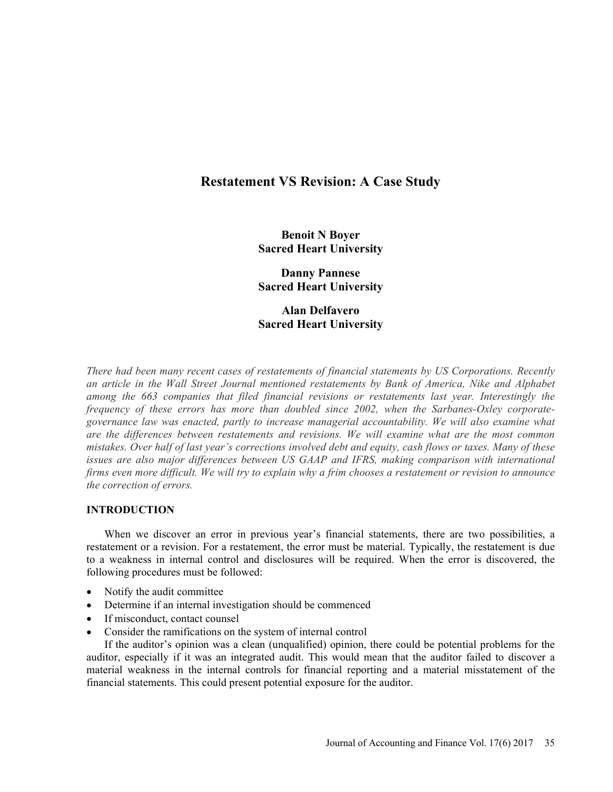# Restatement VS Revision: A Case Study

Benoit N Boyer Sacred Heart University

Danny Pannese Sacred Heart University

Alan Delfavero Sacred Heart University

There had been many recent cases of restatements of financial statements by US Corporations. Recently an article in the Wall Street Journal mentioned restatements by Bank of America, Nike and Alphabet among the 663 companies that filed financial revisions or restatements last year. Interestingly the frequency of these errors has more than doubled since 2002, when the Sarbanes-Oxley corporategovernance law was enacted, partly to increase managerial accountability. We will also examine what are the differences between restatements and revisions. We will examine what are the most common mistakes. Over half of last year's corrections involved debt and equity, cash flows or taxes. Many of these issues are also major differences between US GAAP and IFRS, making comparison with international firms even more difficult. We will try to explain why a frim chooses a restatement or revision to announce the correction of errors.

# INTRODUCTION

When we discover an error in previous year's financial statements, there are two possibilities, a restatement or a revision. For a restatement, the error must be material. Typically, the restatement is due to a weakness in internal control and disclosures will be required. When the error is discovered, the following procedures must be followed:

- Notify the audit committee
- Determine if an internal investigation should be commenced
- If misconduct, contact counsel
- Consider the ramifications on the system of internal control

If the auditor's opinion was a clean (unqualified) opinion, there could be potential problems for the auditor, especially if it was an integrated audit. This would mean that the auditor failed to discover a material weakness in the internal controls for financial reporting and a material misstatement of the financial statements. This could present potential exposure for the auditor.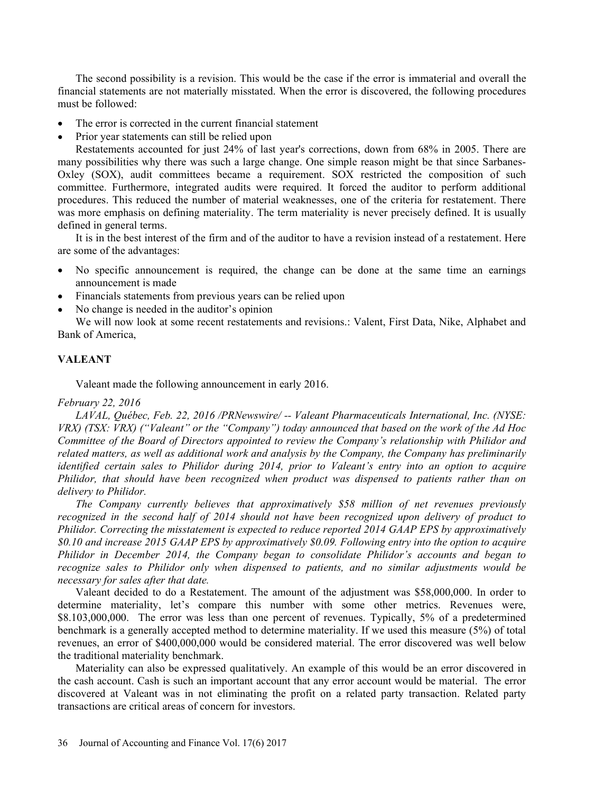The second possibility is a revision. This would be the case if the error is immaterial and overall the financial statements are not materially misstated. When the error is discovered, the following procedures must be followed:

- The error is corrected in the current financial statement  $\bullet$
- Prior year statements can still be relied upon

Restatements accounted for just 24% of last year's corrections, down from 68% in 2005. There are many possibilities why there was such a large change. One simple reason might be that since Sarbanes-Oxley (SOX), audit committees became a requirement. SOX restricted the composition of such committee. Furthermore, integrated audits were required. It forced the auditor to perform additional procedures. This reduced the number of material weaknesses, one of the criteria for restatement. There was more emphasis on defining materiality. The term materiality is never precisely defined. It is usually defined in general terms.

It is in the best interest of the firm and of the auditor to have a revision instead of a restatement. Here are some of the advantages:

- No specific announcement is required, the change can be done at the same time an earnings announcement is made
- Financials statements from previous years can be relied upon
- No change is needed in the auditor's opinion

We will now look at some recent restatements and revisions.: Valent, First Data, Nike, Alphabet and Bank of America,

# VALEANT

Valeant made the following announcement in early 2016.

#### February 22, 2016

LAVAL, Québec, Feb. 22, 2016 /PRNewswire/ -- Valeant Pharmaceuticals International, Inc. (NYSE: VRX) (TSX: VRX) ("Valeant" or the "Company") today announced that based on the work of the Ad Hoc Committee of the Board of Directors appointed to review the Company's relationship with Philidor and related matters, as well as additional work and analysis by the Company, the Company has preliminarily identified certain sales to Philidor during 2014, prior to Valeant's entry into an option to acquire Philidor, that should have been recognized when product was dispensed to patients rather than on delivery to Philidor.

The Company currently believes that approximatively \$58 million of net revenues previously recognized in the second half of 2014 should not have been recognized upon delivery of product to Philidor. Correcting the misstatement is expected to reduce reported 2014 GAAP EPS by approximatively \$0.10 and increase 2015 GAAP EPS by approximatively \$0.09. Following entry into the option to acquire Philidor in December 2014, the Company began to consolidate Philidor's accounts and began to recognize sales to Philidor only when dispensed to patients, and no similar adjustments would be necessary for sales after that date.

Valeant decided to do a Restatement. The amount of the adjustment was \$58,000,000. In order to determine materiality, let's compare this number with some other metrics. Revenues were, \$8.103,000,000. The error was less than one percent of revenues. Typically, 5% of a predetermined benchmark is a generally accepted method to determine materiality. If we used this measure (5%) of total revenues, an error of \$400,000,000 would be considered material. The error discovered was well below the traditional materiality benchmark.

Materiality can also be expressed qualitatively. An example of this would be an error discovered in the cash account. Cash is such an important account that any error account would be material. The error discovered at Valeant was in not eliminating the profit on a related party transaction. Related party transactions are critical areas of concern for investors.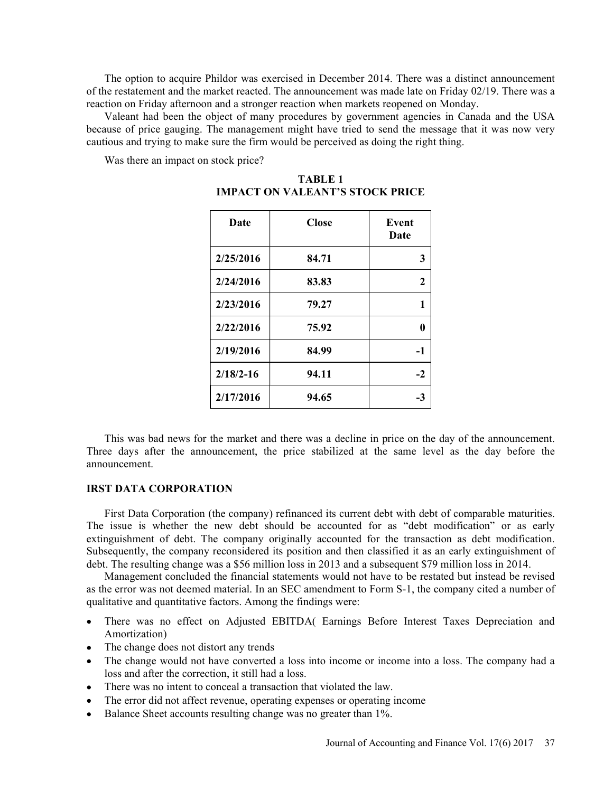The option to acquire Phildor was exercised in December 2014. There was a distinct announcement of the restatement and the market reacted. The announcement was made late on Friday 02/19. There was a reaction on Friday afternoon and a stronger reaction when markets reopened on Monday.

Valeant had been the object of many procedures by government agencies in Canada and the USA because of price gauging. The management might have tried to send the message that it was now very cautious and trying to make sure the firm would be perceived as doing the right thing.

Was there an impact on stock price?

| Date          | <b>Close</b> | Event<br>Date |
|---------------|--------------|---------------|
| 2/25/2016     | 84.71        | 3             |
| 2/24/2016     | 83.83        | $\mathbf{2}$  |
| 2/23/2016     | 79.27        | 1             |
| 2/22/2016     | 75.92        | $\bf{0}$      |
| 2/19/2016     | 84.99        | $-1$          |
| $2/18/2 - 16$ | 94.11        | $-2$          |
| 2/17/2016     | 94.65        | $-3$          |

TABLE 1 IMPACT ON VALEANT'S STOCK PRICE

This was bad news for the market and there was a decline in price on the day of the announcement. Three days after the announcement, the price stabilized at the same level as the day before the announcement.

#### IRST DATA CORPORATION

First Data Corporation (the company) refinanced its current debt with debt of comparable maturities. The issue is whether the new debt should be accounted for as "debt modification" or as early extinguishment of debt. The company originally accounted for the transaction as debt modification. Subsequently, the company reconsidered its position and then classified it as an early extinguishment of debt. The resulting change was a \$56 million loss in 2013 and a subsequent \$79 million loss in 2014.

Management concluded the financial statements would not have to be restated but instead be revised as the error was not deemed material. In an SEC amendment to Form S-1, the company cited a number of qualitative and quantitative factors. Among the findings were:

- There was no effect on Adjusted EBITDA( Earnings Before Interest Taxes Depreciation and Amortization)
- The change does not distort any trends
- The change would not have converted a loss into income or income into a loss. The company had a loss and after the correction, it still had a loss.
- There was no intent to conceal a transaction that violated the law.
- The error did not affect revenue, operating expenses or operating income
- Balance Sheet accounts resulting change was no greater than 1%.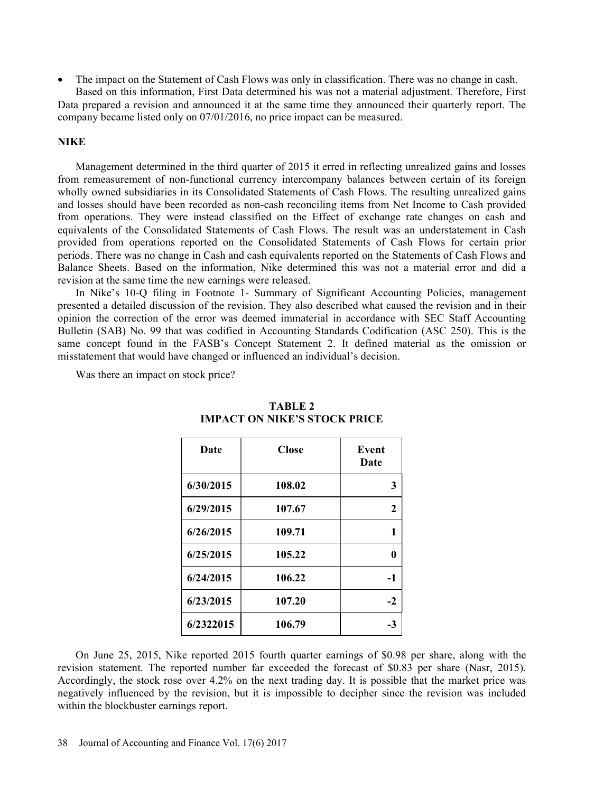The impact on the Statement of Cash Flows was only in classification. There was no change in cash. Based on this information, First Data determined his was not a material adjustment. Therefore, First

Data prepared a revision and announced it at the same time they announced their quarterly report. The company became listed only on 07/01/2016, no price impact can be measured.

#### **NIKE**

Management determined in the third quarter of 2015 it erred in reflecting unrealized gains and losses from remeasurement of non-functional currency intercompany balances between certain of its foreign wholly owned subsidiaries in its Consolidated Statements of Cash Flows. The resulting unrealized gains and losses should have been recorded as non-cash reconciling items from Net Income to Cash provided from operations. They were instead classified on the Effect of exchange rate changes on cash and equivalents of the Consolidated Statements of Cash Flows. The result was an understatement in Cash provided from operations reported on the Consolidated Statements of Cash Flows for certain prior periods. There was no change in Cash and cash equivalents reported on the Statements of Cash Flows and Balance Sheets. Based on the information, Nike determined this was not a material error and did a revision at the same time the new earnings were released.

In Nike's 10-O filing in Footnote 1- Summary of Significant Accounting Policies, management presented a detailed discussion of the revision. They also described what caused the revision and in their opinion the correction of the error was deemed immaterial in accordance with SEC Staff Accounting Bulletin (SAB) No. 99 that was codified in Accounting Standards Codification (ASC 250). This is the same concept found in the FASB's Concept Statement 2. It defined material as the omission or misstatement that would have changed or influenced an individual's decision.

Was there an impact on stock price?

| Date      | <b>Close</b> | <b>Event</b><br>Date |
|-----------|--------------|----------------------|
| 6/30/2015 | 108.02       | 3                    |
| 6/29/2015 | 107.67       | 2                    |
| 6/26/2015 | 109.71       | 1                    |
| 6/25/2015 | 105.22       | 0                    |
| 6/24/2015 | 106.22       | $-1$                 |
| 6/23/2015 | 107.20       | $-2$                 |
| 6/2322015 | 106.79       | $-3$                 |

# TABLE 2 **IMPACT ON NIKE'S STOCK PRICE**

On June 25, 2015, Nike reported 2015 fourth quarter earnings of \$0.98 per share, along with the revision statement. The reported number far exceeded the forecast of \$0.83 per share (Nasr, 2015). Accordingly, the stock rose over 4.2% on the next trading day. It is possible that the market price was negatively influenced by the revision, but it is impossible to decipher since the revision was included within the blockbuster earnings report.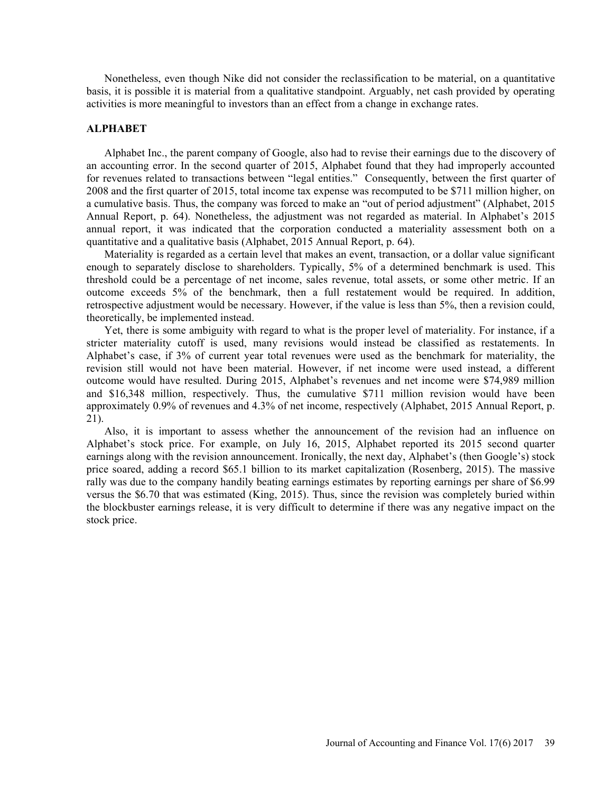Nonetheless, even though Nike did not consider the reclassification to be material, on a quantitative basis, it is possible it is material from a qualitative standpoint. Arguably, net cash provided by operating activities is more meaningful to investors than an effect from a change in exchange rates.

#### ALPHABET

Alphabet Inc., the parent company of Google, also had to revise their earnings due to the discovery of an accounting error. In the second quarter of 2015, Alphabet found that they had improperly accounted for revenues related to transactions between "legal entities." Consequently, between the first quarter of 2008 and the first quarter of 2015, total income tax expense was recomputed to be \$711 million higher, on a cumulative basis. Thus, the company was forced to make an "out of period adjustment" (Alphabet, 2015) Annual Report, p. 64). Nonetheless, the adjustment was not regarded as material. In Alphabet's 2015 annual report, it was indicated that the corporation conducted a materiality assessment both on a quantitative and a qualitative basis (Alphabet, 2015 Annual Report, p. 64).

Materiality is regarded as a certain level that makes an event, transaction, or a dollar value significant enough to separately disclose to shareholders. Typically, 5% of a determined benchmark is used. This threshold could be a percentage of net income, sales revenue, total assets, or some other metric. If an outcome exceeds 5% of the benchmark, then a full restatement would be required. In addition, retrospective adjustment would be necessary. However, if the value is less than 5%, then a revision could, theoretically, be implemented instead.

Yet, there is some ambiguity with regard to what is the proper level of materiality. For instance, if a stricter materiality cutoff is used, many revisions would instead be classified as restatements. In Alphabet's case, if 3% of current year total revenues were used as the benchmark for materiality, the revision still would not have been material. However, if net income were used instead, a different outcome would have resulted. During 2015, Alphabet's revenues and net income were \$74,989 million and \$16,348 million, respectively. Thus, the cumulative \$711 million revision would have been approximately 0.9% of revenues and 4.3% of net income, respectively (Alphabet, 2015 Annual Report, p. 21).

Also, it is important to assess whether the announcement of the revision had an influence on Alphabet's stock price. For example, on July 16, 2015, Alphabet reported its 2015 second quarter earnings along with the revision announcement. Ironically, the next day, Alphabet's (then Google's) stock price soared, adding a record \$65.1 billion to its market capitalization (Rosenberg, 2015). The massive rally was due to the company handily beating earnings estimates by reporting earnings per share of \$6.99 versus the \$6.70 that was estimated (King, 2015). Thus, since the revision was completely buried within the blockbuster earnings release, it is very difficult to determine if there was any negative impact on the stock price.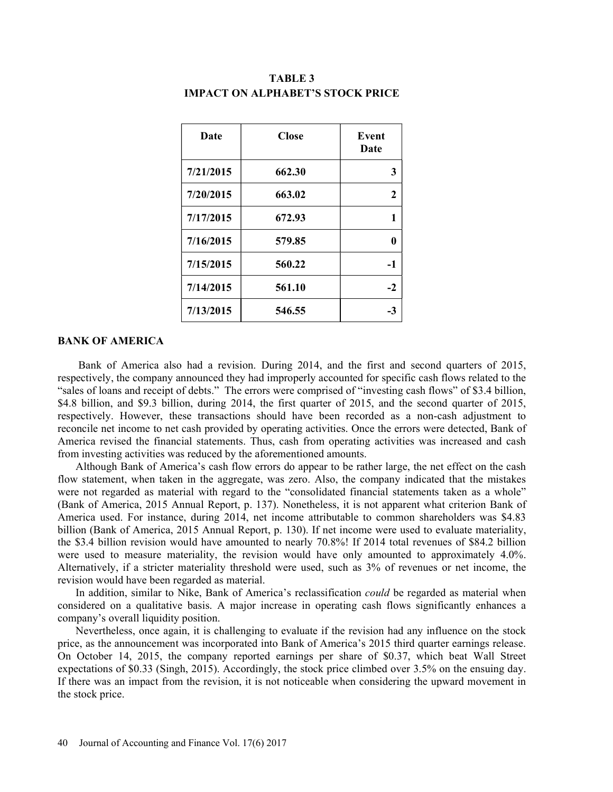| Date      | <b>Close</b> | Event<br>Date |
|-----------|--------------|---------------|
| 7/21/2015 | 662.30       | 3             |
| 7/20/2015 | 663.02       | $\mathbf{2}$  |
| 7/17/2015 | 672.93       | 1             |
| 7/16/2015 | 579.85       | 0             |
| 7/15/2015 | 560.22       | $-1$          |
| 7/14/2015 | 561.10       | $-2$          |
| 7/13/2015 | 546.55       | $-3$          |

# TABLE 3 **IMPACT ON ALPHABET'S STOCK PRICE**

#### BANK OF AMERICA

 Bank of America also had a revision. During 2014, and the first and second quarters of 2015, respectively, the company announced they had improperly accounted for specific cash flows related to the "sales of loans and receipt of debts." The errors were comprised of "investing cash flows" of \$3.4 billion, \$4.8 billion, and \$9.3 billion, during 2014, the first quarter of 2015, and the second quarter of 2015, respectively. However, these transactions should have been recorded as a non-cash adjustment to reconcile net income to net cash provided by operating activities. Once the errors were detected, Bank of America revised the financial statements. Thus, cash from operating activities was increased and cash from investing activities was reduced by the aforementioned amounts.

Although Bank of America's cash flow errors do appear to be rather large, the net effect on the cash flow statement, when taken in the aggregate, was zero. Also, the company indicated that the mistakes were not regarded as material with regard to the "consolidated financial statements taken as a whole" (Bank of America, 2015 Annual Report, p. 137). Nonetheless, it is not apparent what criterion Bank of America used. For instance, during 2014, net income attributable to common shareholders was \$4.83 billion (Bank of America, 2015 Annual Report, p. 130). If net income were used to evaluate materiality, the \$3.4 billion revision would have amounted to nearly 70.8%! If 2014 total revenues of \$84.2 billion were used to measure materiality, the revision would have only amounted to approximately 4.0%. Alternatively, if a stricter materiality threshold were used, such as 3% of revenues or net income, the revision would have been regarded as material.

In addition, similar to Nike, Bank of America's reclassification *could* be regarded as material when considered on a qualitative basis. A major increase in operating cash flows significantly enhances a company's overall liquidity position.

Nevertheless, once again, it is challenging to evaluate if the revision had any influence on the stock price, as the announcement was incorporated into Bank of America's 2015 third quarter earnings release. On October 14, 2015, the company reported earnings per share of \$0.37, which beat Wall Street expectations of \$0.33 (Singh, 2015). Accordingly, the stock price climbed over 3.5% on the ensuing day. If there was an impact from the revision, it is not noticeable when considering the upward movement in the stock price.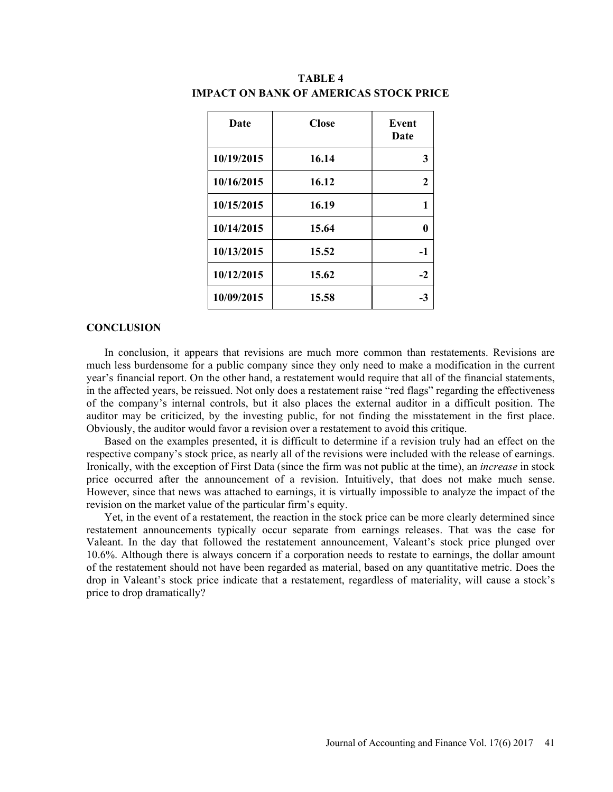| Date       | <b>Close</b> | Event<br>Date |  |
|------------|--------------|---------------|--|
| 10/19/2015 | 16.14        | 3             |  |
| 10/16/2015 | 16.12        | $\mathbf{2}$  |  |
| 10/15/2015 | 16.19        | 1             |  |
| 10/14/2015 | 15.64        | $\bf{0}$      |  |
| 10/13/2015 | 15.52        | $-1$          |  |
| 10/12/2015 | 15.62        | $-2$          |  |
| 10/09/2015 | 15.58        | $-3$          |  |

TABLE 4 IMPACT ON BANK OF AMERICAS STOCK PRICE

#### **CONCLUSION**

In conclusion, it appears that revisions are much more common than restatements. Revisions are much less burdensome for a public company since they only need to make a modification in the current year's financial report. On the other hand, a restatement would require that all of the financial statements, in the affected years, be reissued. Not only does a restatement raise "red flags" regarding the effectiveness of the companys internal controls, but it also places the external auditor in a difficult position. The auditor may be criticized, by the investing public, for not finding the misstatement in the first place. Obviously, the auditor would favor a revision over a restatement to avoid this critique.

Based on the examples presented, it is difficult to determine if a revision truly had an effect on the respective company's stock price, as nearly all of the revisions were included with the release of earnings. Ironically, with the exception of First Data (since the firm was not public at the time), an increase in stock price occurred after the announcement of a revision. Intuitively, that does not make much sense. However, since that news was attached to earnings, it is virtually impossible to analyze the impact of the revision on the market value of the particular firm's equity.

Yet, in the event of a restatement, the reaction in the stock price can be more clearly determined since restatement announcements typically occur separate from earnings releases. That was the case for Valeant. In the day that followed the restatement announcement, Valeant's stock price plunged over 10.6%. Although there is always concern if a corporation needs to restate to earnings, the dollar amount of the restatement should not have been regarded as material, based on any quantitative metric. Does the drop in Valeant's stock price indicate that a restatement, regardless of materiality, will cause a stock's price to drop dramatically?